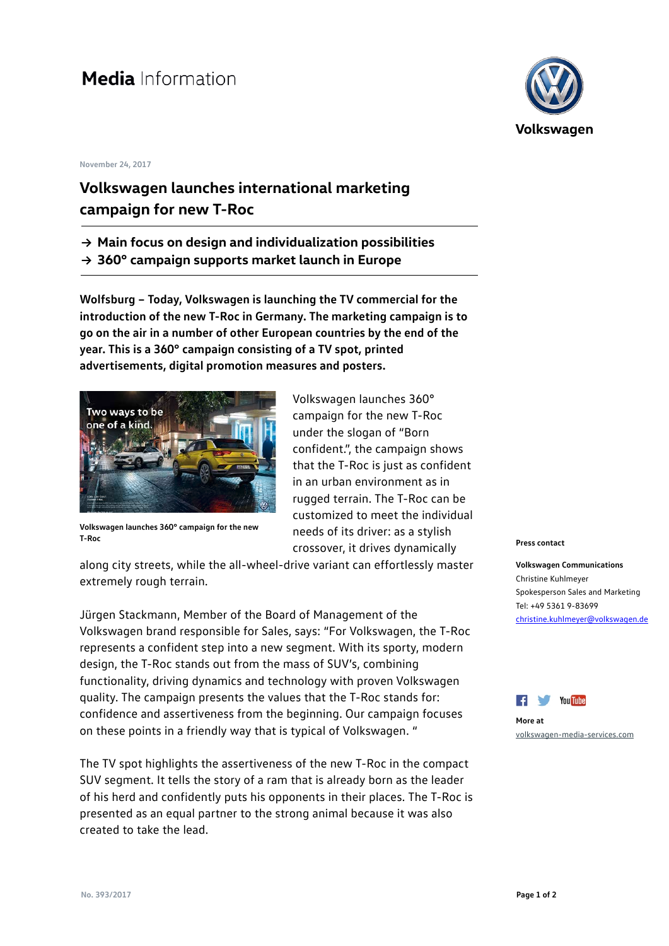## **Media** Information

## **November 24, 2017**

## **Volkswagen launches international marketing campaign for new T-Roc**

- **→ Main focus on design and individualization possibilities**
- **→ 360° campaign supports market launch in Europe**

**Wolfsburg – Today, Volkswagen is launching the TV commercial for the introduction of the new T-Roc in Germany. The marketing campaign is to go on the air in a number of other European countries by the end of the year. This is a 360° campaign consisting of a TV spot, printed advertisements, digital promotion measures and posters.**



**Volkswagen launches 360° campaign for the new T-Roc**

Volkswagen launches 360° campaign for the new T-Roc under the slogan of "Born confident.", the campaign shows that the T-Roc is just as confident in an urban environment as in rugged terrain. The T-Roc can be customized to meet the individual needs of its driver: as a stylish crossover, it drives dynamically

along city streets, while the all-wheel-drive variant can effortlessly master extremely rough terrain.

Jürgen Stackmann, Member of the Board of Management of the Volkswagen brand responsible for Sales, says: "For Volkswagen, the T-Roc represents a confident step into a new segment. With its sporty, modern design, the T-Roc stands out from the mass of SUV's, combining functionality, driving dynamics and technology with proven Volkswagen quality. The campaign presents the values that the T-Roc stands for: confidence and assertiveness from the beginning. Our campaign focuses on these points in a friendly way that is typical of Volkswagen. "

The TV spot highlights the assertiveness of the new T-Roc in the compact SUV segment. It tells the story of a ram that is already born as the leader of his herd and confidently puts his opponents in their places. The T-Roc is presented as an equal partner to the strong animal because it was also created to take the lead.



## **Press contact**

**Volkswagen Communications** Christine Kuhlmeyer Spokesperson Sales and Marketing Tel: +49 5361 9-83699 [christine.kuhlmeyer@volkswagen.de](mailto:christine.kuhlmeyer@volkswagen.de)